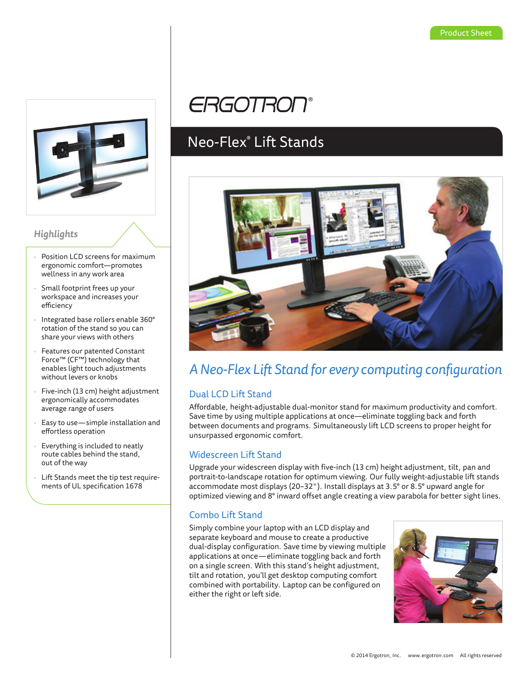

### *Highlights*

- Position LCD screens for maximum ergonomic comfort—promotes wellness in any work area
- Small footprint frees up your workspace and increases your efficiency
- Integrated base rollers enable 360° rotation of the stand so you can share your views with others
- Features our patented Constant Force™ (CF™) technology that enables light touch adjustments without levers or knobs
- Five-inch (13 cm) height adjustment ergonomically accommodates average range of users
- Easy to use—simple installation and effortless operation
- Everything is included to neatly route cables behind the stand, out of the way
- Lift Stands meet the tip test requirements of UL specification 1678

# **ERGOTRON®**

## Neo-Flex® Lift Stands



### *A Neo-Flex Lift Stand for every computing configuration*

### Dual LCD Lift Stand

Affordable, height-adjustable dual-monitor stand for maximum productivity and comfort. Save time by using multiple applications at once—eliminate toggling back and forth between documents and programs. Simultaneously lift LCD screens to proper height for unsurpassed ergonomic comfort.

### Widescreen Lift Stand

Upgrade your widescreen display with five-inch (13 cm) height adjustment, tilt, pan and portrait-to-landscape rotation for optimum viewing. Our fully weight-adjustable lift stands accommodate most displays (20–32"). Install displays at 3.5° or 8.5° upward angle for optimized viewing and 8° inward offset angle creating a view parabola for better sight lines.

### Combo Lift Stand

Simply combine your laptop with an LCD display and separate keyboard and mouse to create a productive dual-display configuration. Save time by viewing multiple applications at once—eliminate toggling back and forth on a single screen. With this stand's height adjustment, tilt and rotation, you'll get desktop computing comfort combined with portability. Laptop can be configured on either the right or left side.